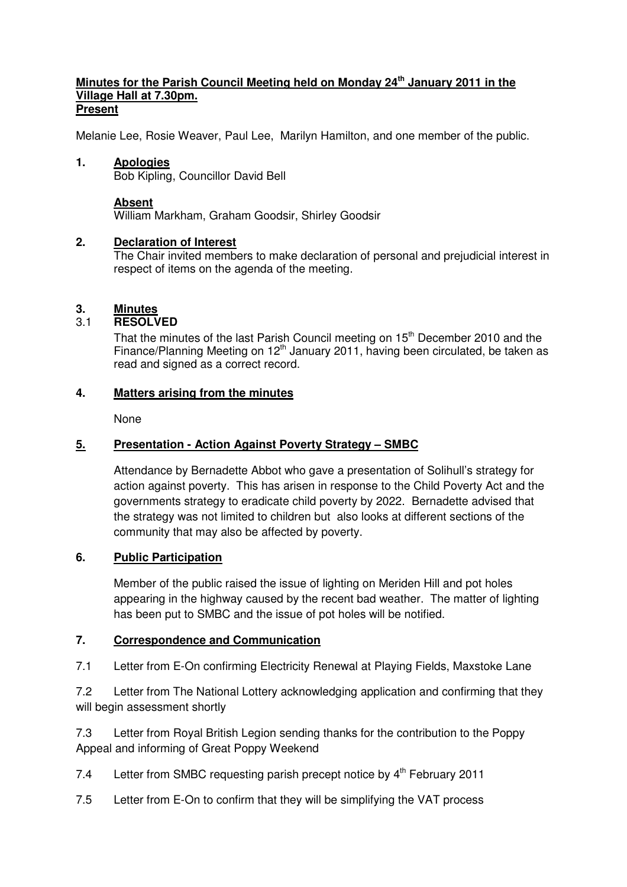#### **Minutes for the Parish Council Meeting held on Monday 24th January 2011 in the Village Hall at 7.30pm. Present**

Melanie Lee, Rosie Weaver, Paul Lee, Marilyn Hamilton, and one member of the public.

### **1. Apologies**

Bob Kipling, Councillor David Bell

#### **Absent**

William Markham, Graham Goodsir, Shirley Goodsir

### **2. Declaration of Interest**

The Chair invited members to make declaration of personal and prejudicial interest in respect of items on the agenda of the meeting.

### **3. Minutes**

# 3.1 **RESOLVED**

That the minutes of the last Parish Council meeting on 15<sup>th</sup> December 2010 and the Finance/Planning Meeting on  $12<sup>th</sup>$  January 2011, having been circulated, be taken as read and signed as a correct record.

### **4. Matters arising from the minutes**

None

## **5. Presentation - Action Against Poverty Strategy – SMBC**

 Attendance by Bernadette Abbot who gave a presentation of Solihull's strategy for action against poverty. This has arisen in response to the Child Poverty Act and the governments strategy to eradicate child poverty by 2022. Bernadette advised that the strategy was not limited to children but also looks at different sections of the community that may also be affected by poverty.

### **6. Public Participation**

 Member of the public raised the issue of lighting on Meriden Hill and pot holes appearing in the highway caused by the recent bad weather. The matter of lighting has been put to SMBC and the issue of pot holes will be notified.

### **7. Correspondence and Communication**

7.1 Letter from E-On confirming Electricity Renewal at Playing Fields, Maxstoke Lane

7.2 Letter from The National Lottery acknowledging application and confirming that they will begin assessment shortly

7.3 Letter from Royal British Legion sending thanks for the contribution to the Poppy Appeal and informing of Great Poppy Weekend

- 7.4 Letter from SMBC requesting parish precept notice by 4<sup>th</sup> February 2011
- 7.5 Letter from E-On to confirm that they will be simplifying the VAT process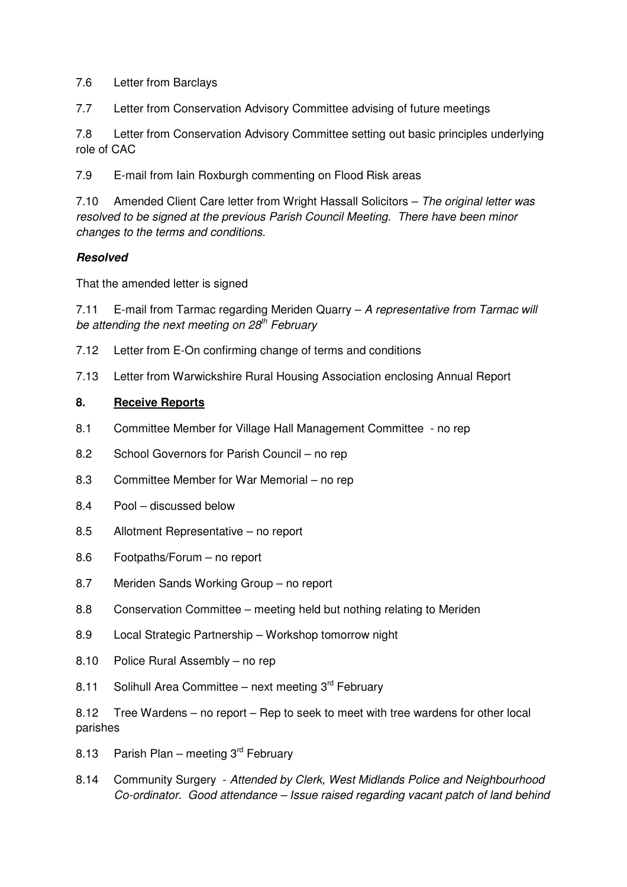7.6 Letter from Barclays

7.7 Letter from Conservation Advisory Committee advising of future meetings

7.8 Letter from Conservation Advisory Committee setting out basic principles underlying role of CAC

7.9 E-mail from Iain Roxburgh commenting on Flood Risk areas

7.10 Amended Client Care letter from Wright Hassall Solicitors - The original letter was resolved to be signed at the previous Parish Council Meeting. There have been minor changes to the terms and conditions.

# **Resolved**

That the amended letter is signed

7.11 E-mail from Tarmac regarding Meriden Quarry – A representative from Tarmac will be attending the next meeting on  $28<sup>th</sup>$  February

- 7.12 Letter from E-On confirming change of terms and conditions
- 7.13 Letter from Warwickshire Rural Housing Association enclosing Annual Report

### **8. Receive Reports**

- 8.1 Committee Member for Village Hall Management Committee no rep
- 8.2 School Governors for Parish Council no rep
- 8.3 Committee Member for War Memorial no rep
- 8.4 Pool discussed below
- 8.5 Allotment Representative no report
- 8.6 Footpaths/Forum no report
- 8.7 Meriden Sands Working Group no report
- 8.8 Conservation Committee meeting held but nothing relating to Meriden
- 8.9 Local Strategic Partnership Workshop tomorrow night
- 8.10 Police Rural Assembly no rep
- 8.11 Solihull Area Committee next meeting  $3^{rd}$  February

8.12 Tree Wardens – no report – Rep to seek to meet with tree wardens for other local parishes

- 8.13 Parish Plan meeting  $3<sup>rd</sup>$  February
- 8.14 Community Surgery Attended by Clerk, West Midlands Police and Neighbourhood Co-ordinator. Good attendance – Issue raised regarding vacant patch of land behind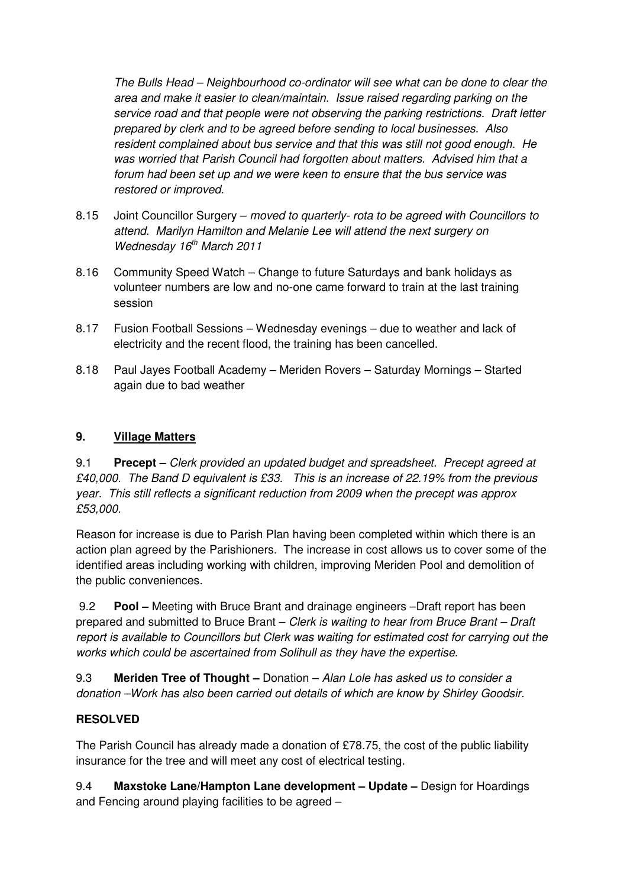The Bulls Head – Neighbourhood co-ordinator will see what can be done to clear the area and make it easier to clean/maintain. Issue raised regarding parking on the service road and that people were not observing the parking restrictions. Draft letter prepared by clerk and to be agreed before sending to local businesses. Also resident complained about bus service and that this was still not good enough. He was worried that Parish Council had forgotten about matters. Advised him that a forum had been set up and we were keen to ensure that the bus service was restored or improved.

- 8.15 Joint Councillor Surgery moved to quarterly- rota to be agreed with Councillors to attend. Marilyn Hamilton and Melanie Lee will attend the next surgery on Wednesday  $16<sup>th</sup>$  March 2011
- 8.16 Community Speed Watch Change to future Saturdays and bank holidays as volunteer numbers are low and no-one came forward to train at the last training session
- 8.17 Fusion Football Sessions Wednesday evenings due to weather and lack of electricity and the recent flood, the training has been cancelled.
- 8.18 Paul Jayes Football Academy Meriden Rovers Saturday Mornings Started again due to bad weather

# **9. Village Matters**

9.1 **Precept –** Clerk provided an updated budget and spreadsheet. Precept agreed at £40,000. The Band D equivalent is £33. This is an increase of 22.19% from the previous year. This still reflects a significant reduction from 2009 when the precept was approx £53,000.

Reason for increase is due to Parish Plan having been completed within which there is an action plan agreed by the Parishioners. The increase in cost allows us to cover some of the identified areas including working with children, improving Meriden Pool and demolition of the public conveniences.

 9.2 **Pool –** Meeting with Bruce Brant and drainage engineers –Draft report has been prepared and submitted to Bruce Brant – Clerk is waiting to hear from Bruce Brant – Draft report is available to Councillors but Clerk was waiting for estimated cost for carrying out the works which could be ascertained from Solihull as they have the expertise.

9.3 **Meriden Tree of Thought –** Donation – Alan Lole has asked us to consider a donation –Work has also been carried out details of which are know by Shirley Goodsir.

# **RESOLVED**

The Parish Council has already made a donation of £78.75, the cost of the public liability insurance for the tree and will meet any cost of electrical testing.

9.4 **Maxstoke Lane/Hampton Lane development – Update –** Design for Hoardings and Fencing around playing facilities to be agreed –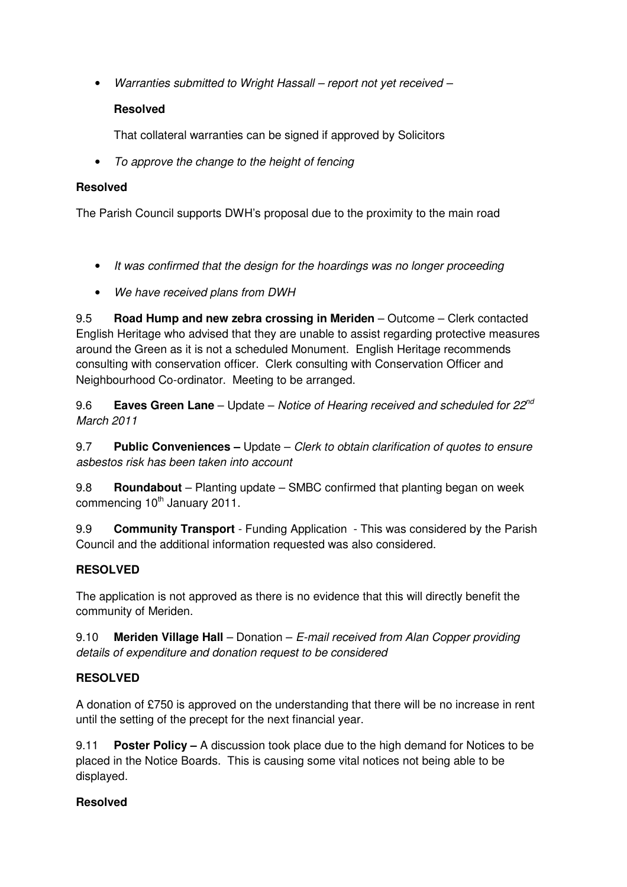• Warranties submitted to Wright Hassall – report not yet received –

# **Resolved**

That collateral warranties can be signed if approved by Solicitors

• To approve the change to the height of fencing

# **Resolved**

The Parish Council supports DWH's proposal due to the proximity to the main road

- It was confirmed that the design for the hoardings was no longer proceeding
- We have received plans from DWH

9.5 **Road Hump and new zebra crossing in Meriden** – Outcome – Clerk contacted English Heritage who advised that they are unable to assist regarding protective measures around the Green as it is not a scheduled Monument. English Heritage recommends consulting with conservation officer. Clerk consulting with Conservation Officer and Neighbourhood Co-ordinator. Meeting to be arranged.

9.6 **Eaves Green Lane** – Update – Notice of Hearing received and scheduled for 22<sup>nd</sup> March 2011

9.7 **Public Conveniences –** Update – Clerk to obtain clarification of quotes to ensure asbestos risk has been taken into account

9.8 **Roundabout** – Planting update – SMBC confirmed that planting began on week commencing  $10<sup>th</sup>$  January 2011.

9.9 **Community Transport** - Funding Application - This was considered by the Parish Council and the additional information requested was also considered.

# **RESOLVED**

The application is not approved as there is no evidence that this will directly benefit the community of Meriden.

9.10 **Meriden Village Hall** – Donation – E-mail received from Alan Copper providing details of expenditure and donation request to be considered

# **RESOLVED**

A donation of £750 is approved on the understanding that there will be no increase in rent until the setting of the precept for the next financial year.

9.11 **Poster Policy –** A discussion took place due to the high demand for Notices to be placed in the Notice Boards. This is causing some vital notices not being able to be displayed.

# **Resolved**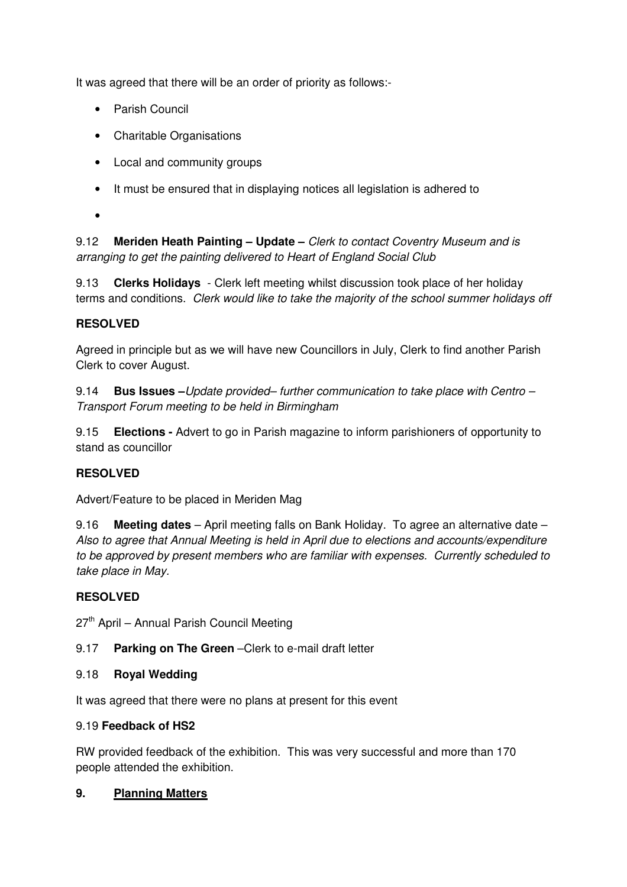It was agreed that there will be an order of priority as follows:-

- Parish Council
- Charitable Organisations
- Local and community groups
- It must be ensured that in displaying notices all legislation is adhered to
- •

9.12 **Meriden Heath Painting – Update –** Clerk to contact Coventry Museum and is arranging to get the painting delivered to Heart of England Social Club

9.13 **Clerks Holidays** - Clerk left meeting whilst discussion took place of her holiday terms and conditions. Clerk would like to take the majority of the school summer holidays off

# **RESOLVED**

Agreed in principle but as we will have new Councillors in July, Clerk to find another Parish Clerk to cover August.

9.14 **Bus Issues –**Update provided– further communication to take place with Centro – Transport Forum meeting to be held in Birmingham

9.15 **Elections -** Advert to go in Parish magazine to inform parishioners of opportunity to stand as councillor

# **RESOLVED**

Advert/Feature to be placed in Meriden Mag

9.16 **Meeting dates** – April meeting falls on Bank Holiday. To agree an alternative date – Also to agree that Annual Meeting is held in April due to elections and accounts/expenditure to be approved by present members who are familiar with expenses. Currently scheduled to take place in May.

# **RESOLVED**

 $27<sup>th</sup>$  April – Annual Parish Council Meeting

# 9.17 **Parking on The Green** –Clerk to e-mail draft letter

### 9.18 **Royal Wedding**

It was agreed that there were no plans at present for this event

### 9.19 **Feedback of HS2**

RW provided feedback of the exhibition. This was very successful and more than 170 people attended the exhibition.

# **9. Planning Matters**